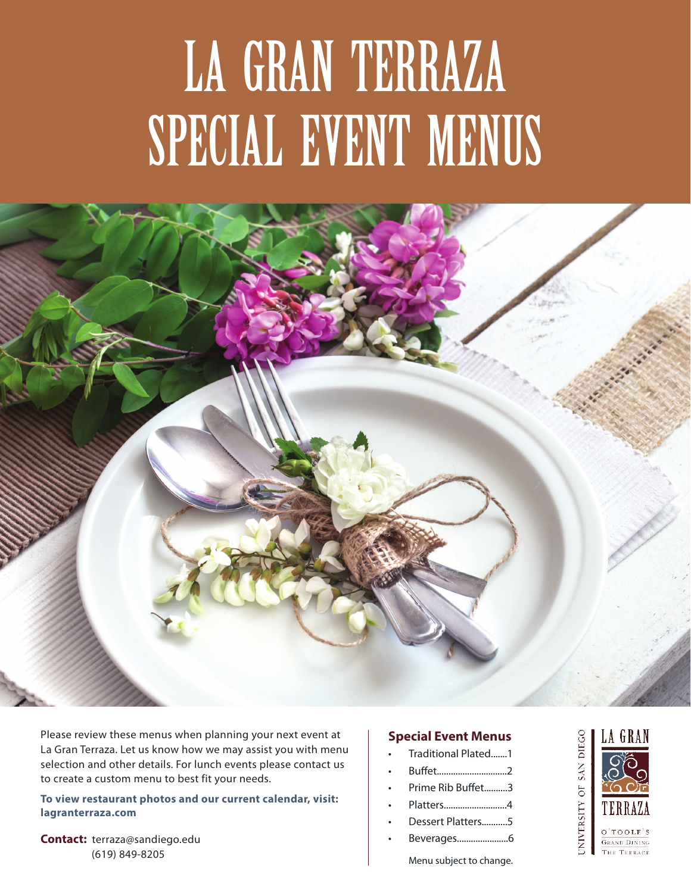# LA GRAN TERRAZA SPECIAL EVENT MENUS



Please review these menus when planning your next event at La Gran Terraza. Let us know how we may assist you with menu selection and other details. For lunch events please contact us to create a custom menu to best fit your needs.

**To view restaurant photos and our current calendar, visit: lagranterraza.com**

**Contact:** terraza@sandiego.edu (619) 849-8205

#### **Special Event Menus**

- Traditional Plated.......1
- Buffet..............................2
- Prime Rib Buffet..........3
- Platters...........................4
- Dessert Platters...........5
- Beverages......................6

Menu subject to change.

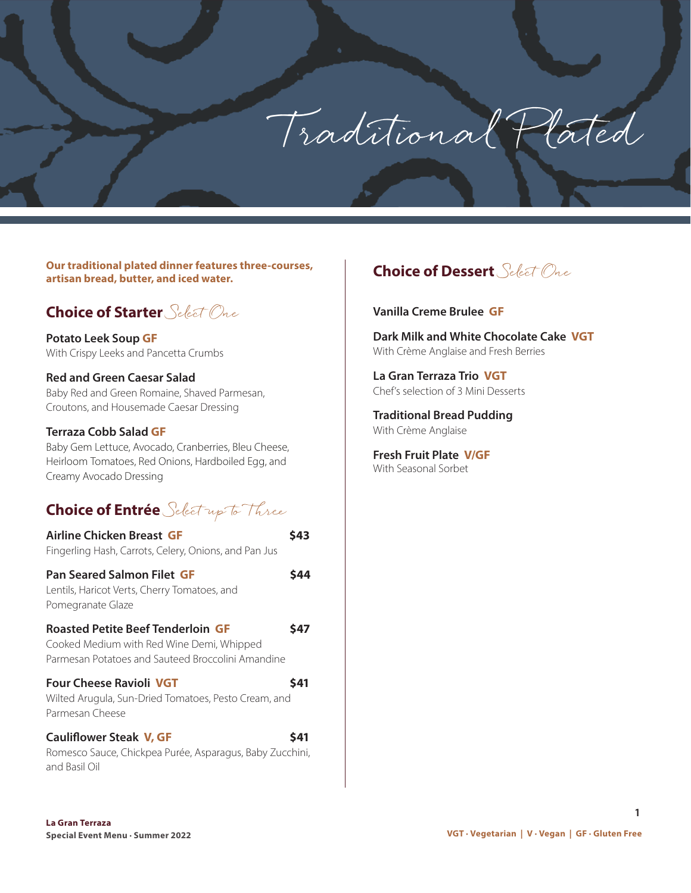Traditional Plated

**Our traditional plated dinner features three-courses, artisan bread, butter, and iced water.**

## **Choice of Starter** Select One

**Potato Leek Soup GF** With Crispy Leeks and Pancetta Crumbs

#### **Red and Green Caesar Salad**

Baby Red and Green Romaine, Shaved Parmesan, Croutons, and Housemade Caesar Dressing

#### **Terraza Cobb Salad GF**

Baby Gem Lettuce, Avocado, Cranberries, Bleu Cheese, Heirloom Tomatoes, Red Onions, Hardboiled Egg, and Creamy Avocado Dressing

# **Choice of Entrée** Select up to Three

| Airline Chicken Breast GF<br>Fingerling Hash, Carrots, Celery, Onions, and Pan Jus                                                         |      |
|--------------------------------------------------------------------------------------------------------------------------------------------|------|
| <b>Pan Seared Salmon Filet GF</b><br>Lentils, Haricot Verts, Cherry Tomatoes, and<br>Pomegranate Glaze                                     | S44  |
| <b>Roasted Petite Beef Tenderloin GF</b><br>Cooked Medium with Red Wine Demi, Whipped<br>Parmesan Potatoes and Sauteed Broccolini Amandine | S47  |
| <b>Four Cheese Ravioli VGT</b><br>Wilted Arugula, Sun-Dried Tomatoes, Pesto Cream, and<br>Parmesan Cheese                                  | \$41 |
| <b>Cauliflower Steak V, GF</b><br>Romesco Sauce, Chickpea Purée, Asparagus, Baby Zucchini,<br>and Basil Oil                                | S41  |

# **Choice of Dessert** Select One

#### **Vanilla Creme Brulee GF**

**Dark Milk and White Chocolate Cake VGT** With Crème Anglaise and Fresh Berries

**La Gran Terraza Trio VGT** Chef's selection of 3 Mini Desserts

**Traditional Bread Pudding** With Crème Anglaise

**Fresh Fruit Plate V/GF** With Seasonal Sorbet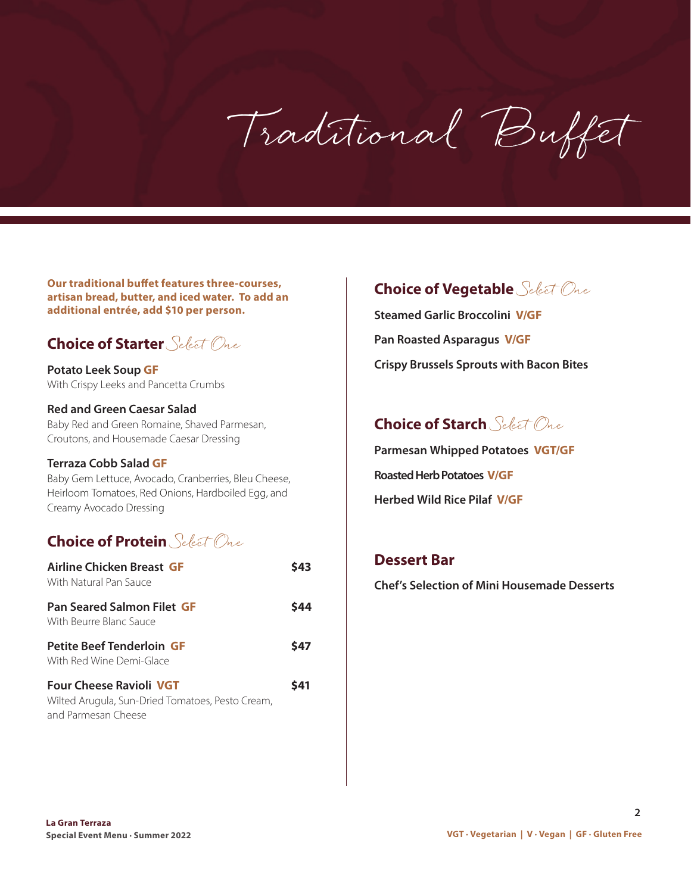Traditional Buffet

**Our traditional buffet features three-courses, artisan bread, butter, and iced water. To add an additional entrée, add \$10 per person.** 

# **Choice of Starter** Select One

**Potato Leek Soup GF** With Crispy Leeks and Pancetta Crumbs

#### **Red and Green Caesar Salad** Baby Red and Green Romaine, Shaved Parmesan, Croutons, and Housemade Caesar Dressing

#### **Terraza Cobb Salad GF**

Baby Gem Lettuce, Avocado, Cranberries, Bleu Cheese, Heirloom Tomatoes, Red Onions, Hardboiled Egg, and Creamy Avocado Dressing

# **Choice of Protein** Select One

| Airline Chicken Breast GF<br>With Natural Pan Sauce                                                       | 543 |
|-----------------------------------------------------------------------------------------------------------|-----|
| <b>Pan Seared Salmon Filet GF</b><br>With Beurre Blanc Sauce                                              | S44 |
| <b>Petite Beef Tenderloin GF</b><br>With Red Wine Demi-Glace                                              | S47 |
| <b>Four Cheese Ravioli VGT</b><br>Wilted Arugula, Sun-Dried Tomatoes, Pesto Cream,<br>and Parmesan Cheese | S41 |

# **Choice of Vegetable** Select One

**Steamed Garlic Broccolini V/GF Pan Roasted Asparagus V/GF Crispy Brussels Sprouts with Bacon Bites**

# **Choice of Starch** Select One

**Parmesan Whipped Potatoes VGT/GF Roasted Herb Potatoes V/GF Herbed Wild Rice Pilaf V/GF** 

#### **Dessert Bar**

**Chef's Selection of Mini Housemade Desserts**

 **2**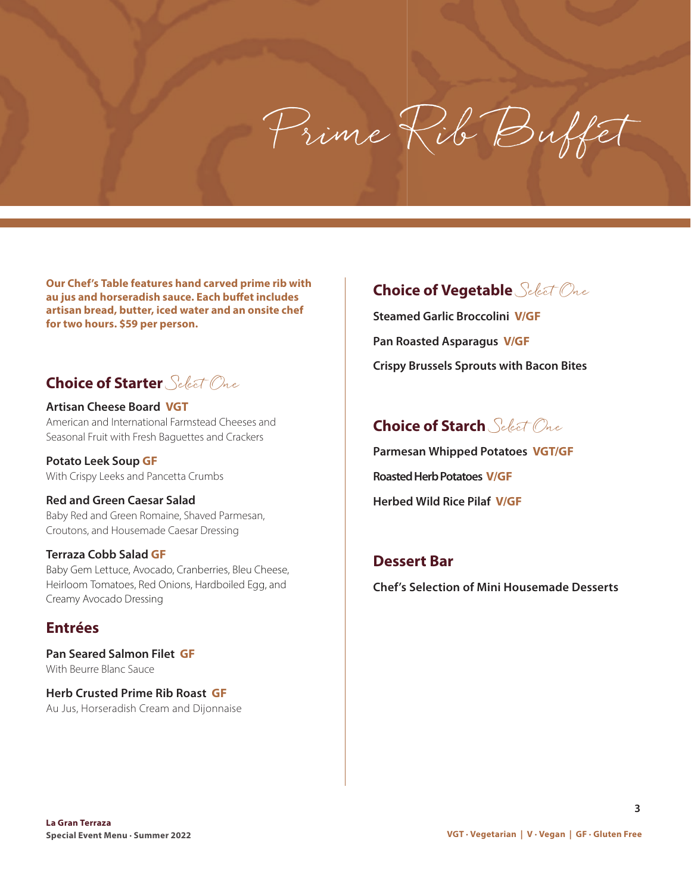# Prime Rib Buffet

**Our Chef's Table features hand carved prime rib with au jus and horseradish sauce. Each buffet includes artisan bread, butter, iced water and an onsite chef for two hours. \$59 per person.** 

# **Choice of Starter** Select One

**Artisan Cheese Board VGT** American and International Farmstead Cheeses and Seasonal Fruit with Fresh Baguettes and Crackers

**Potato Leek Soup GF** With Crispy Leeks and Pancetta Crumbs

#### **Red and Green Caesar Salad**

Baby Red and Green Romaine, Shaved Parmesan, Croutons, and Housemade Caesar Dressing

#### **Terraza Cobb Salad GF**

Baby Gem Lettuce, Avocado, Cranberries, Bleu Cheese, Heirloom Tomatoes, Red Onions, Hardboiled Egg, and Creamy Avocado Dressing

#### **Entrées**

**Pan Seared Salmon Filet GF**  With Beurre Blanc Sauce

**Herb Crusted Prime Rib Roast GF** Au Jus, Horseradish Cream and Dijonnaise

# **Choice of Vegetable** Select One

**Steamed Garlic Broccolini V/GF Pan Roasted Asparagus V/GF Crispy Brussels Sprouts with Bacon Bites**

# **Choice of Starch** Select One

**Parmesan Whipped Potatoes VGT/GF Roasted Herb Potatoes V/GF Herbed Wild Rice Pilaf V/GF** 

#### **Dessert Bar**

**Chef's Selection of Mini Housemade Desserts**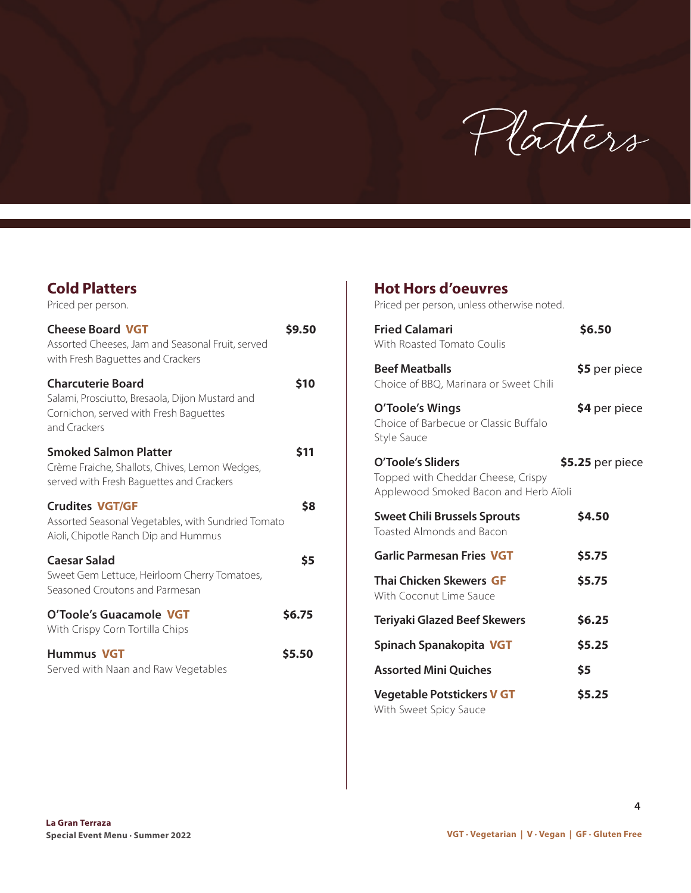

| <b>Cold Platters</b><br>Priced per person.                                                                                            |            |
|---------------------------------------------------------------------------------------------------------------------------------------|------------|
| <b>Cheese Board VGT</b><br>Assorted Cheeses, Jam and Seasonal Fruit, served<br>with Fresh Baguettes and Crackers                      | \$9.50     |
| <b>Charcuterie Board</b><br>Salami, Prosciutto, Bresaola, Dijon Mustard and<br>Cornichon, served with Fresh Baguettes<br>and Crackers | <b>S10</b> |
| <b>Smoked Salmon Platter</b><br>Crème Fraiche, Shallots, Chives, Lemon Wedges,<br>served with Fresh Baguettes and Crackers            | S11        |
| <b>Crudites VGT/GF</b><br>Assorted Seasonal Vegetables, with Sundried Tomato<br>Aioli, Chipotle Ranch Dip and Hummus                  | \$8        |
| <b>Caesar Salad</b><br>Sweet Gem Lettuce, Heirloom Cherry Tomatoes,<br>Seasoned Croutons and Parmesan                                 | \$5        |
| O'Toole's Guacamole VGT<br>With Crispy Corn Tortilla Chips                                                                            | \$6.75     |
| <b>Hummus VGT</b><br>Served with Naan and Raw Vegetables                                                                              | \$5.50     |
|                                                                                                                                       |            |

#### **Hot Hors d'oeuvres**

Priced per person, unless otherwise noted.

| <b>Fried Calamari</b><br>With Roasted Tomato Coulis                                              | \$6.50           |
|--------------------------------------------------------------------------------------------------|------------------|
| <b>Beef Meatballs</b><br>Choice of BBQ, Marinara or Sweet Chili                                  | \$5 per piece    |
| O'Toole's Wings<br>Choice of Barbecue or Classic Buffalo<br>Style Sauce                          | \$4 per piece    |
| O'Toole's Sliders<br>Topped with Cheddar Cheese, Crispy<br>Applewood Smoked Bacon and Herb Aïoli | \$5.25 per piece |
| <b>Sweet Chili Brussels Sprouts</b><br>Toasted Almonds and Bacon                                 | \$4.50           |
| <b>Garlic Parmesan Fries VGT</b>                                                                 | \$5.75           |
| <b>Thai Chicken Skewers GF</b><br>With Coconut Lime Sauce                                        | \$5.75           |
| <b>Teriyaki Glazed Beef Skewers</b>                                                              | \$6.25           |
| Spinach Spanakopita VGT                                                                          | \$5.25           |
| <b>Assorted Mini Quiches</b>                                                                     | \$5              |
| <b>Vegetable Potstickers V GT</b><br>With Sweet Spicy Sauce                                      | \$5.25           |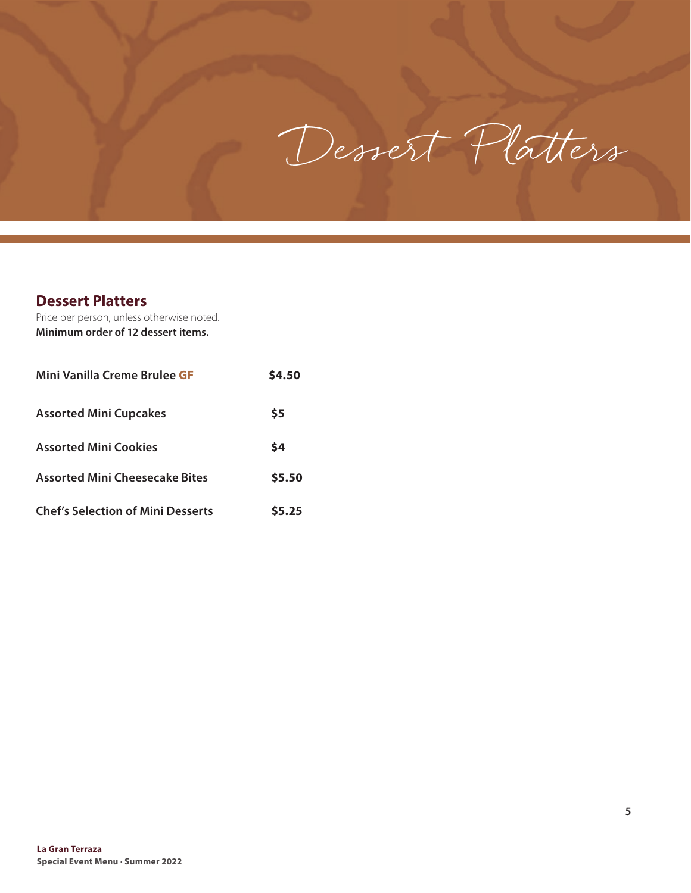

#### **Dessert Platters**

| Price per person, unless otherwise noted.<br>Minimum order of 12 dessert items. |        |
|---------------------------------------------------------------------------------|--------|
| Mini Vanilla Creme Brulee GF                                                    | \$4.50 |
| <b>Assorted Mini Cupcakes</b>                                                   | \$5    |
| <b>Assorted Mini Cookies</b>                                                    | \$4    |
| <b>Assorted Mini Cheesecake Bites</b>                                           | \$5.50 |
| <b>Chef's Selection of Mini Desserts</b>                                        | S5.25  |